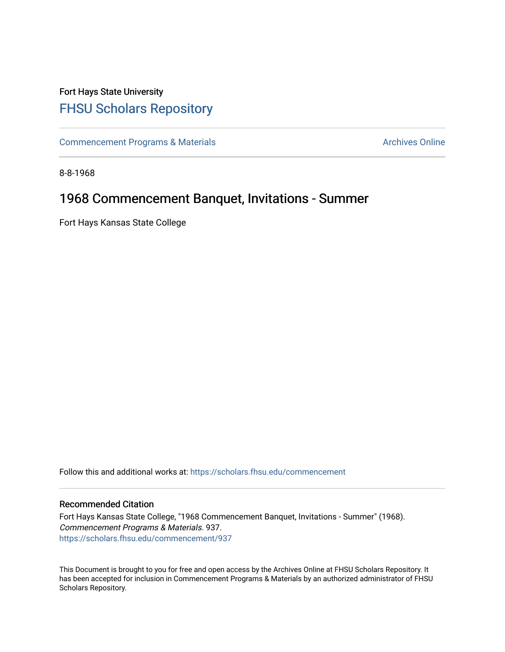## Fort Hays State University [FHSU Scholars Repository](https://scholars.fhsu.edu/)

[Commencement Programs & Materials](https://scholars.fhsu.edu/commencement) **Archives Online** Archives Online

8-8-1968

## 1968 Commencement Banquet, Invitations - Summer

Fort Hays Kansas State College

Follow this and additional works at: [https://scholars.fhsu.edu/commencement](https://scholars.fhsu.edu/commencement?utm_source=scholars.fhsu.edu%2Fcommencement%2F937&utm_medium=PDF&utm_campaign=PDFCoverPages)

## Recommended Citation

Fort Hays Kansas State College, "1968 Commencement Banquet, Invitations - Summer" (1968). Commencement Programs & Materials. 937. [https://scholars.fhsu.edu/commencement/937](https://scholars.fhsu.edu/commencement/937?utm_source=scholars.fhsu.edu%2Fcommencement%2F937&utm_medium=PDF&utm_campaign=PDFCoverPages)

This Document is brought to you for free and open access by the Archives Online at FHSU Scholars Repository. It has been accepted for inclusion in Commencement Programs & Materials by an authorized administrator of FHSU Scholars Repository.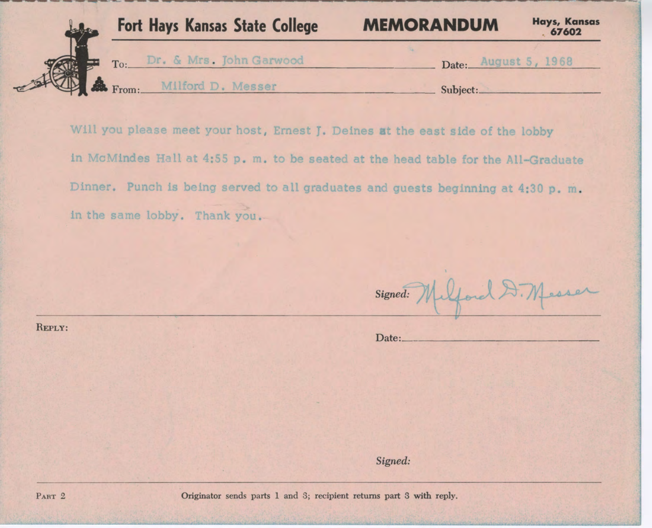

Will you please meet your host, Ernest J. Deines at the east side of the lobby in McMindes Hall at 4:55 p. m. to be seated at the head table for the All-Graduate Dinner. Punch is being served to all graduates and guests beginning at 4:30 p. m. in the same lobby. Thank you.

Signed:

Date: \_ \_ \_\_\_\_\_\_\_\_\_\_\_ \_

*Signed:* 

REPLY: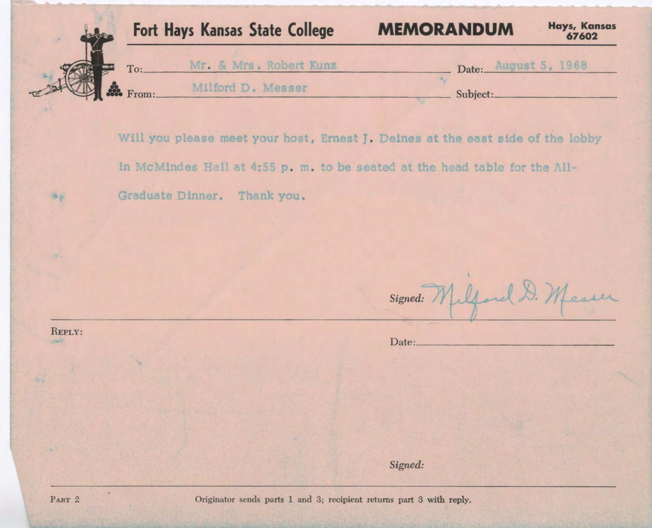| <b>Fort Hays Kansas State College</b> | <b>MEMORANDUM</b> | <b>Hays, Kansas</b><br>67602 |
|---------------------------------------|-------------------|------------------------------|
| Mr. & Mrs. Robert Kunz<br>To:         | Date:             | August 5, 1968               |
| Milford D. Messer<br><b>SE</b> From:  | Subject:          |                              |

Will you please meet your host, Ernest J. Deines at the east side of the lobby in McMindes Hall at 4:55 p. m. to be seated at the head table for the All-Graduate Dinner. Thank you.

Signed: Milford D. Messer

Date: \_\_\_\_\_\_\_\_\_\_\_\_\_\_\_ \_

*Signed:* 

REPLY:

净资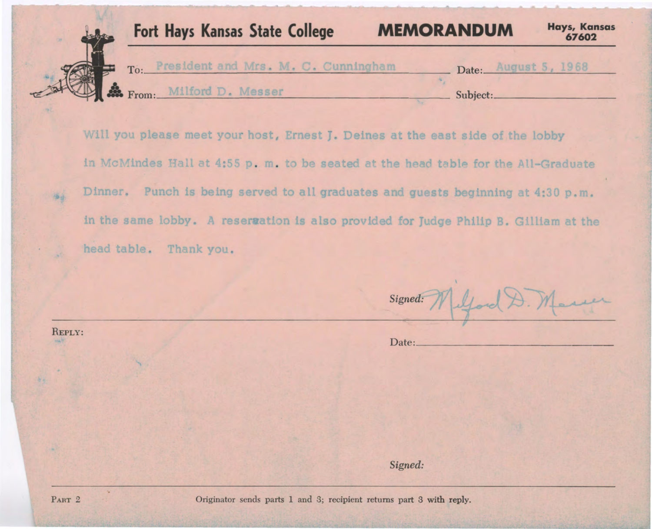

Will you please meet your host, Ernest J. Deines at the east side of the lobby in McMindes Hall at 4:55 p. m. to be seated at the head table for the All-Graduate Dinner. Punch is being served to all graduates and guests beginning at 4:30 p.m. in the same lobby. A reservation is also provided for Judge Philip B. Gilliam at the head table. Thank you.

*Signed:* 

Date: \_\_\_\_\_\_\_\_\_\_\_\_\_\_\_\_ \_

*Signed:* 

海道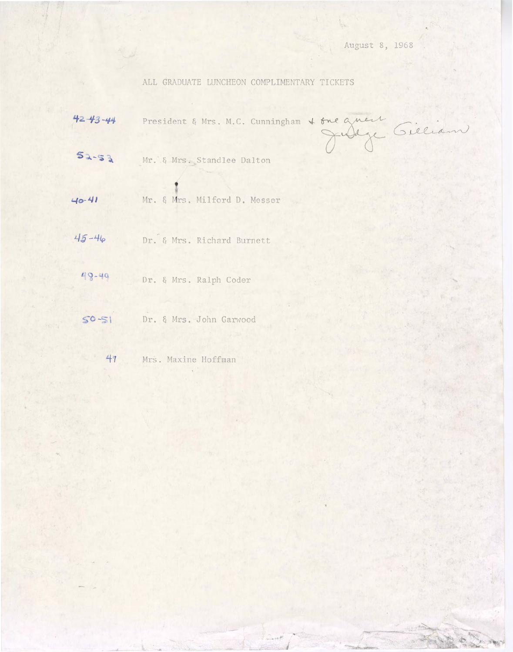## ALL GRADUATE LUNCHEON COMPLIMENTARY TICKETS

|            | ALL GRADUATE LUNCHEON COMPLIMENTARY TICKETS          |
|------------|------------------------------------------------------|
| 42 43 - 44 | President & Mrs. M.C. Cunningham & one quest Gielian |
| $52 - 53$  | Mr. & Mrs. Standlee Dalton                           |
| 40-41      | Mr. & Mrs. Milford D. Messer                         |
| $45 - 46$  | Dr. & Mrs. Richard Burnett                           |
| 48-49      | Dr. & Mrs. Ralph Coder                               |
| $50 - 51$  | Dr. & Mrs. John Garwood                              |
| 47         | Mrs. Maxine Hoffman                                  |

**J**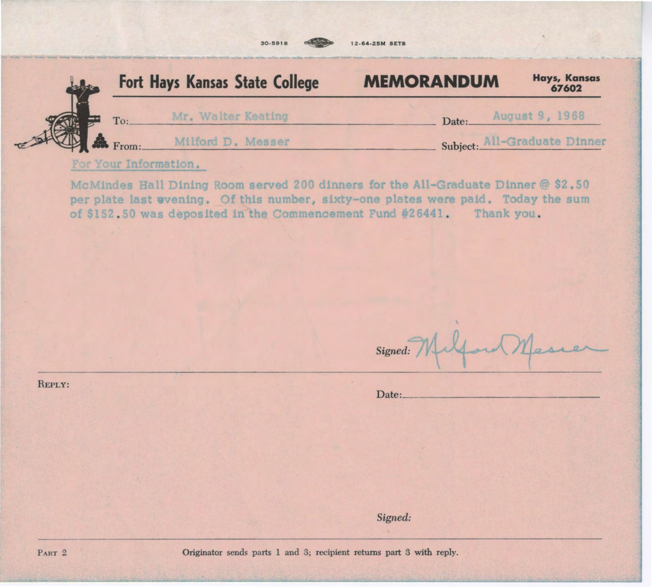

McMindes Hall Dining Room served 200 dinners for the All-Graduate Dinner  $@$  \$2.50 per plate last wvening. Of this number, sixty-one plates were paid. Today the sum of \$152.50 was deposited in the Commencement Fund #26441. Thank you.

REPLY:

| Signed: Milford Messer |  |
|------------------------|--|
|------------------------|--|

Date : \_\_\_\_\_\_\_\_\_\_\_ \_\_\_ \_

*Signed:*